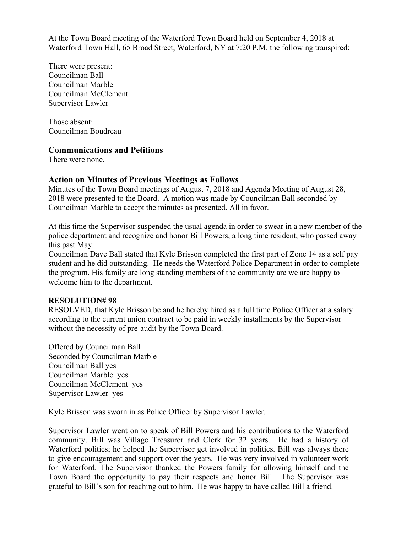At the Town Board meeting of the Waterford Town Board held on September 4, 2018 at Waterford Town Hall, 65 Broad Street, Waterford, NY at 7:20 P.M. the following transpired:

There were present: Councilman Ball Councilman Marble Councilman McClement Supervisor Lawler

Those absent: Councilman Boudreau

## **Communications and Petitions**

There were none.

# **Action on Minutes of Previous Meetings as Follows**

Minutes of the Town Board meetings of August 7, 2018 and Agenda Meeting of August 28, 2018 were presented to the Board. A motion was made by Councilman Ball seconded by Councilman Marble to accept the minutes as presented. All in favor.

At this time the Supervisor suspended the usual agenda in order to swear in a new member of the police department and recognize and honor Bill Powers, a long time resident, who passed away this past May.

Councilman Dave Ball stated that Kyle Brisson completed the first part of Zone 14 as a self pay student and he did outstanding. He needs the Waterford Police Department in order to complete the program. His family are long standing members of the community are we are happy to welcome him to the department.

## **RESOLUTION# 98**

RESOLVED, that Kyle Brisson be and he hereby hired as a full time Police Officer at a salary according to the current union contract to be paid in weekly installments by the Supervisor without the necessity of pre-audit by the Town Board.

Offered by Councilman Ball Seconded by Councilman Marble Councilman Ball yes Councilman Marble yes Councilman McClement yes Supervisor Lawler yes

Kyle Brisson was sworn in as Police Officer by Supervisor Lawler.

Supervisor Lawler went on to speak of Bill Powers and his contributions to the Waterford community. Bill was Village Treasurer and Clerk for 32 years. He had a history of Waterford politics; he helped the Supervisor get involved in politics. Bill was always there to give encouragement and support over the years. He was very involved in volunteer work for Waterford. The Supervisor thanked the Powers family for allowing himself and the Town Board the opportunity to pay their respects and honor Bill. The Supervisor was grateful to Bill's son for reaching out to him. He was happy to have called Bill a friend.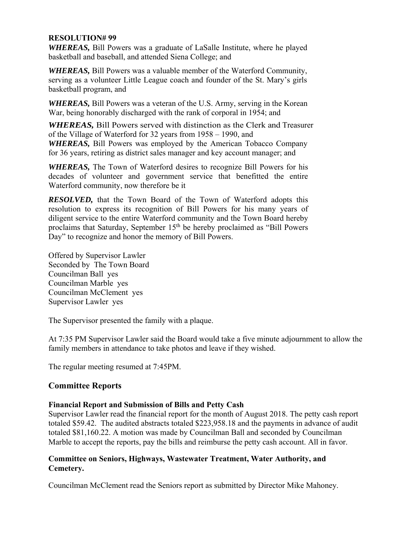## **RESOLUTION# 99**

*WHEREAS,* Bill Powers was a graduate of LaSalle Institute, where he played basketball and baseball, and attended Siena College; and

*WHEREAS,* Bill Powers was a valuable member of the Waterford Community, serving as a volunteer Little League coach and founder of the St. Mary's girls basketball program, and

*WHEREAS,* Bill Powers was a veteran of the U.S. Army, serving in the Korean War, being honorably discharged with the rank of corporal in 1954; and

*WHEREAS,* Bill Powers served with distinction as the Clerk and Treasurer of the Village of Waterford for 32 years from 1958 – 1990, and *WHEREAS,* Bill Powers was employed by the American Tobacco Company for 36 years, retiring as district sales manager and key account manager; and

*WHEREAS,* The Town of Waterford desires to recognize Bill Powers for his decades of volunteer and government service that benefitted the entire Waterford community, now therefore be it

*RESOLVED,* that the Town Board of the Town of Waterford adopts this resolution to express its recognition of Bill Powers for his many years of diligent service to the entire Waterford community and the Town Board hereby proclaims that Saturday, September 15<sup>th</sup> be hereby proclaimed as "Bill Powers" Day" to recognize and honor the memory of Bill Powers.

Offered by Supervisor Lawler Seconded by The Town Board Councilman Ball yes Councilman Marble yes Councilman McClement yes Supervisor Lawler yes

The Supervisor presented the family with a plaque.

At 7:35 PM Supervisor Lawler said the Board would take a five minute adjournment to allow the family members in attendance to take photos and leave if they wished.

The regular meeting resumed at 7:45PM.

# **Committee Reports**

# **Financial Report and Submission of Bills and Petty Cash**

Supervisor Lawler read the financial report for the month of August 2018. The petty cash report totaled \$59.42. The audited abstracts totaled \$223,958.18 and the payments in advance of audit totaled \$81,160.22. A motion was made by Councilman Ball and seconded by Councilman Marble to accept the reports, pay the bills and reimburse the petty cash account. All in favor.

# **Committee on Seniors, Highways, Wastewater Treatment, Water Authority, and Cemetery.**

Councilman McClement read the Seniors report as submitted by Director Mike Mahoney.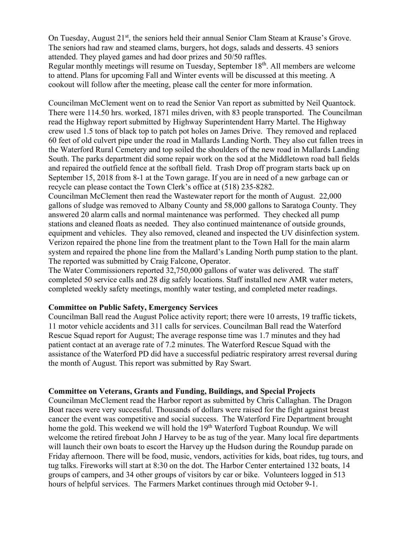On Tuesday, August 21<sup>st</sup>, the seniors held their annual Senior Clam Steam at Krause's Grove. The seniors had raw and steamed clams, burgers, hot dogs, salads and desserts. 43 seniors attended. They played games and had door prizes and 50/50 raffles.

Regular monthly meetings will resume on Tuesday, September 18<sup>th</sup>. All members are welcome to attend. Plans for upcoming Fall and Winter events will be discussed at this meeting. A cookout will follow after the meeting, please call the center for more information.

Councilman McClement went on to read the Senior Van report as submitted by Neil Quantock. There were 114.50 hrs. worked, 1871 miles driven, with 83 people transported. The Councilman read the Highway report submitted by Highway Superintendent Harry Martel. The Highway crew used 1.5 tons of black top to patch pot holes on James Drive. They removed and replaced 60 feet of old culvert pipe under the road in Mallards Landing North. They also cut fallen trees in the Waterford Rural Cemetery and top soiled the shoulders of the new road in Mallards Landing South. The parks department did some repair work on the sod at the Middletown road ball fields and repaired the outfield fence at the softball field. Trash Drop off program starts back up on September 15, 2018 from 8-1 at the Town garage. If you are in need of a new garbage can or recycle can please contact the Town Clerk's office at (518) 235-8282.

Councilman McClement then read the Wastewater report for the month of August. 22,000 gallons of sludge was removed to Albany County and 58,000 gallons to Saratoga County. They answered 20 alarm calls and normal maintenance was performed. They checked all pump stations and cleaned floats as needed. They also continued maintenance of outside grounds, equipment and vehicles. They also removed, cleaned and inspected the UV disinfection system. Verizon repaired the phone line from the treatment plant to the Town Hall for the main alarm system and repaired the phone line from the Mallard's Landing North pump station to the plant. The reported was submitted by Craig Falcone, Operator.

The Water Commissioners reported 32,750,000 gallons of water was delivered. The staff completed 50 service calls and 28 dig safely locations. Staff installed new AMR water meters, completed weekly safety meetings, monthly water testing, and completed meter readings.

## **Committee on Public Safety, Emergency Services**

Councilman Ball read the August Police activity report; there were 10 arrests, 19 traffic tickets, 11 motor vehicle accidents and 311 calls for services. Councilman Ball read the Waterford Rescue Squad report for August; The average response time was 1.7 minutes and they had patient contact at an average rate of 7.2 minutes. The Waterford Rescue Squad with the assistance of the Waterford PD did have a successful pediatric respiratory arrest reversal during the month of August. This report was submitted by Ray Swart.

#### **Committee on Veterans, Grants and Funding, Buildings, and Special Projects**

Councilman McClement read the Harbor report as submitted by Chris Callaghan. The Dragon Boat races were very successful. Thousands of dollars were raised for the fight against breast cancer the event was competitive and social success. The Waterford Fire Department brought home the gold. This weekend we will hold the 19<sup>th</sup> Waterford Tugboat Roundup. We will welcome the retired fireboat John J Harvey to be as tug of the year. Many local fire departments will launch their own boats to escort the Harvey up the Hudson during the Roundup parade on Friday afternoon. There will be food, music, vendors, activities for kids, boat rides, tug tours, and tug talks. Fireworks will start at 8:30 on the dot. The Harbor Center entertained 132 boats, 14 groups of campers, and 34 other groups of visitors by car or bike. Volunteers logged in 513 hours of helpful services. The Farmers Market continues through mid October 9-1.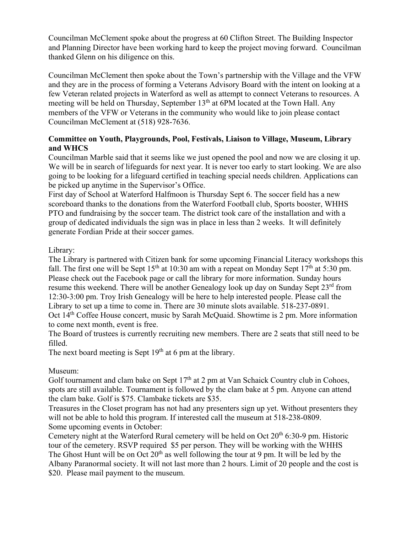Councilman McClement spoke about the progress at 60 Clifton Street. The Building Inspector and Planning Director have been working hard to keep the project moving forward. Councilman thanked Glenn on his diligence on this.

Councilman McClement then spoke about the Town's partnership with the Village and the VFW and they are in the process of forming a Veterans Advisory Board with the intent on looking at a few Veteran related projects in Waterford as well as attempt to connect Veterans to resources. A meeting will be held on Thursday, September 13<sup>th</sup> at 6PM located at the Town Hall. Any members of the VFW or Veterans in the community who would like to join please contact Councilman McClement at (518) 928-7636.

# **Committee on Youth, Playgrounds, Pool, Festivals, Liaison to Village, Museum, Library and WHCS**

Councilman Marble said that it seems like we just opened the pool and now we are closing it up. We will be in search of lifeguards for next year. It is never too early to start looking. We are also going to be looking for a lifeguard certified in teaching special needs children. Applications can be picked up anytime in the Supervisor's Office.

First day of School at Waterford Halfmoon is Thursday Sept 6. The soccer field has a new scoreboard thanks to the donations from the Waterford Football club, Sports booster, WHHS PTO and fundraising by the soccer team. The district took care of the installation and with a group of dedicated individuals the sign was in place in less than 2 weeks. It will definitely generate Fordian Pride at their soccer games.

Library:

The Library is partnered with Citizen bank for some upcoming Financial Literacy workshops this fall. The first one will be Sept 15<sup>th</sup> at 10:30 am with a repeat on Monday Sept 17<sup>th</sup> at 5:30 pm. Please check out the Facebook page or call the library for more information. Sunday hours resume this weekend. There will be another Genealogy look up day on Sunday Sept  $23<sup>rd</sup>$  from 12:30-3:00 pm. Troy Irish Genealogy will be here to help interested people. Please call the Library to set up a time to come in. There are 30 minute slots available. 518-237-0891. Oct 14<sup>th</sup> Coffee House concert, music by Sarah McQuaid. Showtime is 2 pm. More information to come next month, event is free.

The Board of trustees is currently recruiting new members. There are 2 seats that still need to be filled.

The next board meeting is Sept  $19<sup>th</sup>$  at 6 pm at the library.

Museum:

Golf tournament and clam bake on Sept  $17<sup>th</sup>$  at 2 pm at Van Schaick Country club in Cohoes, spots are still available. Tournament is followed by the clam bake at 5 pm. Anyone can attend the clam bake. Golf is \$75. Clambake tickets are \$35.

Treasures in the Closet program has not had any presenters sign up yet. Without presenters they will not be able to hold this program. If interested call the museum at 518-238-0809. Some upcoming events in October:

Cemetery night at the Waterford Rural cemetery will be held on Oct  $20<sup>th</sup> 6:30-9$  pm. Historic tour of the cemetery. RSVP required \$5 per person. They will be working with the WHHS The Ghost Hunt will be on Oct  $20<sup>th</sup>$  as well following the tour at 9 pm. It will be led by the Albany Paranormal society. It will not last more than 2 hours. Limit of 20 people and the cost is \$20. Please mail payment to the museum.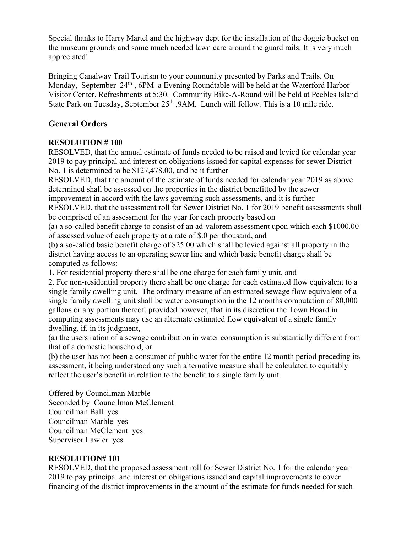Special thanks to Harry Martel and the highway dept for the installation of the doggie bucket on the museum grounds and some much needed lawn care around the guard rails. It is very much appreciated!

Bringing Canalway Trail Tourism to your community presented by Parks and Trails. On Monday, September 24<sup>th</sup>, 6PM a Evening Roundtable will be held at the Waterford Harbor Visitor Center. Refreshments at 5:30. Community Bike-A-Round will be held at Peebles Island State Park on Tuesday, September  $25<sup>th</sup>$ , 9AM. Lunch will follow. This is a 10 mile ride.

# **General Orders**

# **RESOLUTION # 100**

RESOLVED, that the annual estimate of funds needed to be raised and levied for calendar year 2019 to pay principal and interest on obligations issued for capital expenses for sewer District No. 1 is determined to be \$127,478.00, and be it further

RESOLVED, that the amount of the estimate of funds needed for calendar year 2019 as above determined shall be assessed on the properties in the district benefitted by the sewer improvement in accord with the laws governing such assessments, and it is further

RESOLVED, that the assessment roll for Sewer District No. 1 for 2019 benefit assessments shall be comprised of an assessment for the year for each property based on

(a) a so-called benefit charge to consist of an ad-valorem assessment upon which each \$1000.00 of assessed value of each property at a rate of \$.0 per thousand, and

(b) a so-called basic benefit charge of \$25.00 which shall be levied against all property in the district having access to an operating sewer line and which basic benefit charge shall be computed as follows:

1. For residential property there shall be one charge for each family unit, and

2. For non-residential property there shall be one charge for each estimated flow equivalent to a single family dwelling unit. The ordinary measure of an estimated sewage flow equivalent of a single family dwelling unit shall be water consumption in the 12 months computation of 80,000 gallons or any portion thereof, provided however, that in its discretion the Town Board in computing assessments may use an alternate estimated flow equivalent of a single family dwelling, if, in its judgment,

(a) the users ration of a sewage contribution in water consumption is substantially different from that of a domestic household, or

(b) the user has not been a consumer of public water for the entire 12 month period preceding its assessment, it being understood any such alternative measure shall be calculated to equitably reflect the user's benefit in relation to the benefit to a single family unit.

Offered by Councilman Marble Seconded by Councilman McClement Councilman Ball yes Councilman Marble yes Councilman McClement yes Supervisor Lawler yes

# **RESOLUTION# 101**

RESOLVED, that the proposed assessment roll for Sewer District No. 1 for the calendar year 2019 to pay principal and interest on obligations issued and capital improvements to cover financing of the district improvements in the amount of the estimate for funds needed for such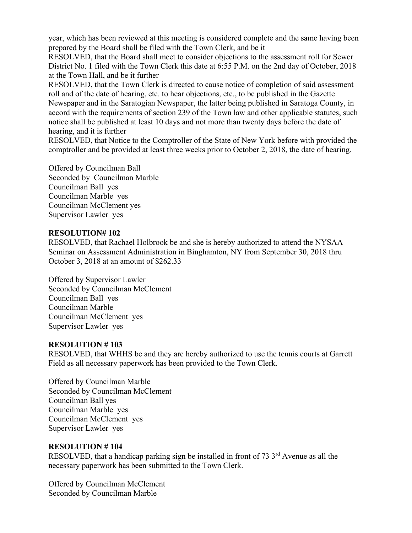year, which has been reviewed at this meeting is considered complete and the same having been prepared by the Board shall be filed with the Town Clerk, and be it

RESOLVED, that the Board shall meet to consider objections to the assessment roll for Sewer District No. 1 filed with the Town Clerk this date at 6:55 P.M. on the 2nd day of October, 2018 at the Town Hall, and be it further

RESOLVED, that the Town Clerk is directed to cause notice of completion of said assessment roll and of the date of hearing, etc. to hear objections, etc., to be published in the Gazette Newspaper and in the Saratogian Newspaper, the latter being published in Saratoga County, in accord with the requirements of section 239 of the Town law and other applicable statutes, such notice shall be published at least 10 days and not more than twenty days before the date of hearing, and it is further

RESOLVED, that Notice to the Comptroller of the State of New York before with provided the comptroller and be provided at least three weeks prior to October 2, 2018, the date of hearing.

Offered by Councilman Ball Seconded by Councilman Marble Councilman Ball yes Councilman Marble yes Councilman McClement yes Supervisor Lawler yes

## **RESOLUTION# 102**

RESOLVED, that Rachael Holbrook be and she is hereby authorized to attend the NYSAA Seminar on Assessment Administration in Binghamton, NY from September 30, 2018 thru October 3, 2018 at an amount of \$262.33

Offered by Supervisor Lawler Seconded by Councilman McClement Councilman Ball yes Councilman Marble Councilman McClement yes Supervisor Lawler yes

## **RESOLUTION # 103**

RESOLVED, that WHHS be and they are hereby authorized to use the tennis courts at Garrett Field as all necessary paperwork has been provided to the Town Clerk.

Offered by Councilman Marble Seconded by Councilman McClement Councilman Ball yes Councilman Marble yes Councilman McClement yes Supervisor Lawler yes

# **RESOLUTION # 104**

RESOLVED, that a handicap parking sign be installed in front of  $73 \, 3^{\text{rd}}$  Avenue as all the necessary paperwork has been submitted to the Town Clerk.

Offered by Councilman McClement Seconded by Councilman Marble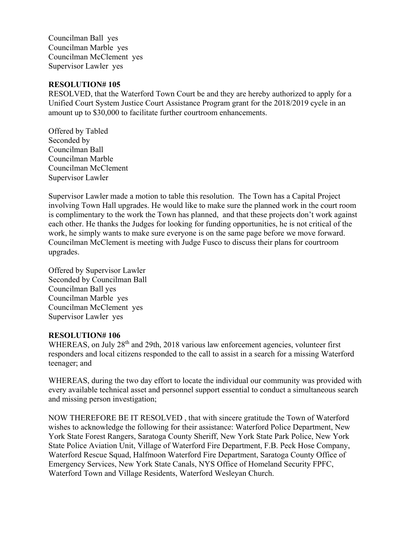Councilman Ball yes Councilman Marble yes Councilman McClement yes Supervisor Lawler yes

### **RESOLUTION# 105**

RESOLVED, that the Waterford Town Court be and they are hereby authorized to apply for a Unified Court System Justice Court Assistance Program grant for the 2018/2019 cycle in an amount up to \$30,000 to facilitate further courtroom enhancements.

Offered by Tabled Seconded by Councilman Ball Councilman Marble Councilman McClement Supervisor Lawler

Supervisor Lawler made a motion to table this resolution. The Town has a Capital Project involving Town Hall upgrades. He would like to make sure the planned work in the court room is complimentary to the work the Town has planned, and that these projects don't work against each other. He thanks the Judges for looking for funding opportunities, he is not critical of the work, he simply wants to make sure everyone is on the same page before we move forward. Councilman McClement is meeting with Judge Fusco to discuss their plans for courtroom upgrades.

Offered by Supervisor Lawler Seconded by Councilman Ball Councilman Ball yes Councilman Marble yes Councilman McClement yes Supervisor Lawler yes

#### **RESOLUTION# 106**

WHEREAS, on July 28<sup>th</sup> and 29th, 2018 various law enforcement agencies, volunteer first responders and local citizens responded to the call to assist in a search for a missing Waterford teenager; and

WHEREAS, during the two day effort to locate the individual our community was provided with every available technical asset and personnel support essential to conduct a simultaneous search and missing person investigation;

NOW THEREFORE BE IT RESOLVED , that with sincere gratitude the Town of Waterford wishes to acknowledge the following for their assistance: Waterford Police Department, New York State Forest Rangers, Saratoga County Sheriff, New York State Park Police, New York State Police Aviation Unit, Village of Waterford Fire Department, F.B. Peck Hose Company, Waterford Rescue Squad, Halfmoon Waterford Fire Department, Saratoga County Office of Emergency Services, New York State Canals, NYS Office of Homeland Security FPFC, Waterford Town and Village Residents, Waterford Wesleyan Church.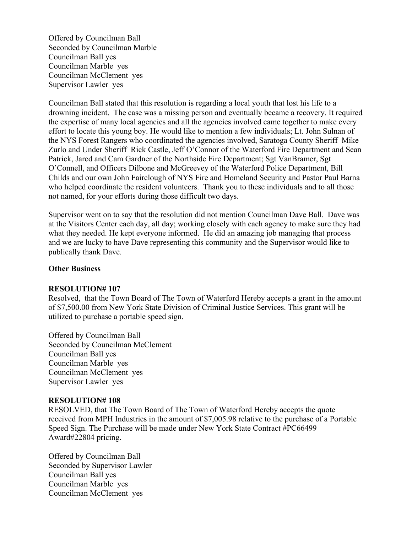Offered by Councilman Ball Seconded by Councilman Marble Councilman Ball yes Councilman Marble yes Councilman McClement yes Supervisor Lawler yes

Councilman Ball stated that this resolution is regarding a local youth that lost his life to a drowning incident. The case was a missing person and eventually became a recovery. It required the expertise of many local agencies and all the agencies involved came together to make every effort to locate this young boy. He would like to mention a few individuals; Lt. John Sulnan of the NYS Forest Rangers who coordinated the agencies involved, Saratoga County Sheriff Mike Zurlo and Under Sheriff Rick Castle, Jeff O'Connor of the Waterford Fire Department and Sean Patrick, Jared and Cam Gardner of the Northside Fire Department; Sgt VanBramer, Sgt O'Connell, and Officers Dilbone and McGreevey of the Waterford Police Department, Bill Childs and our own John Fairclough of NYS Fire and Homeland Security and Pastor Paul Barna who helped coordinate the resident volunteers. Thank you to these individuals and to all those not named, for your efforts during those difficult two days.

Supervisor went on to say that the resolution did not mention Councilman Dave Ball. Dave was at the Visitors Center each day, all day; working closely with each agency to make sure they had what they needed. He kept everyone informed. He did an amazing job managing that process and we are lucky to have Dave representing this community and the Supervisor would like to publically thank Dave.

### **Other Business**

#### **RESOLUTION# 107**

Resolved, that the Town Board of The Town of Waterford Hereby accepts a grant in the amount of \$7,500.00 from New York State Division of Criminal Justice Services. This grant will be utilized to purchase a portable speed sign.

Offered by Councilman Ball Seconded by Councilman McClement Councilman Ball yes Councilman Marble yes Councilman McClement yes Supervisor Lawler yes

#### **RESOLUTION# 108**

RESOLVED, that The Town Board of The Town of Waterford Hereby accepts the quote received from MPH Industries in the amount of \$7,005.98 relative to the purchase of a Portable Speed Sign. The Purchase will be made under New York State Contract #PC66499 Award#22804 pricing.

Offered by Councilman Ball Seconded by Supervisor Lawler Councilman Ball yes Councilman Marble yes Councilman McClement yes